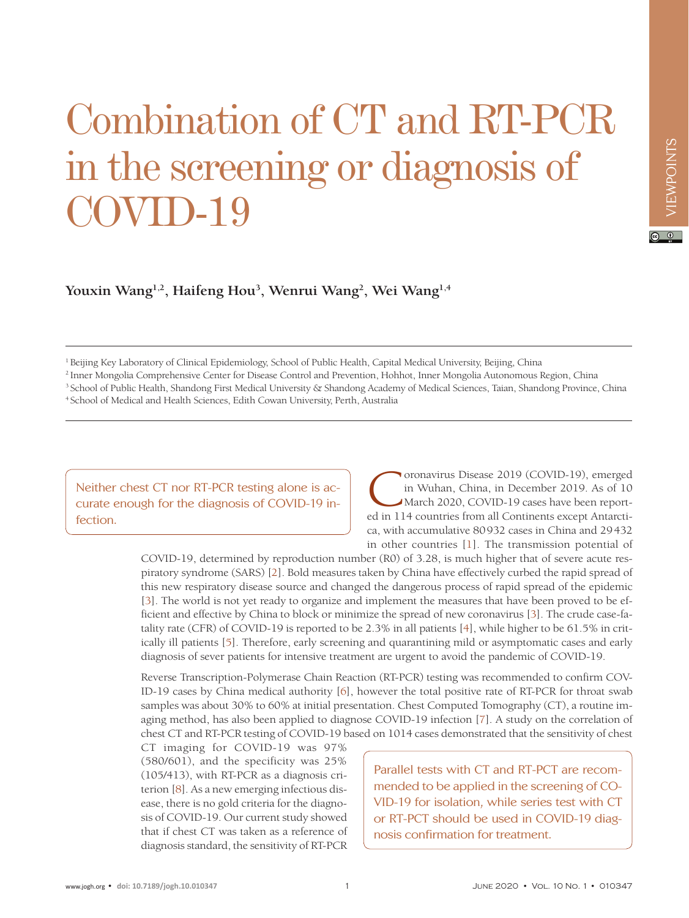## Combination of CT and RT-PCR in the screening or diagnosis of  $\rm OVID-19$

**Youxin Wang1,2, Haifeng Hou3 , Wenrui Wang2 , Wei Wang1,4**

1 Beijing Key Laboratory of Clinical Epidemiology, School of Public Health, Capital Medical University, Beijing, China

2 Inner Mongolia Comprehensive Center for Disease Control and Prevention, Hohhot, Inner Mongolia Autonomous Region, China

<sup>3</sup> School of Public Health, Shandong First Medical University & Shandong Academy of Medical Sciences, Taian, Shandong Province, China

4 School of Medical and Health Sciences, Edith Cowan University, Perth, Australia

Neither chest CT nor RT-PCR testing alone is accurate enough for the diagnosis of COVID-19 infection.

Coronavirus Disease 2019 (COVID-19), emerged in Wuhan, China, in December 2019. As of 10 March 2020, COVID-19 cases have been reported in 114 countries from all Continents except Antarctica, with accumulative 80932 cases in China and 29432 in other countries [\[1\]](#page-2-0). The transmission potential of

COVID-19, determined by reproduction number (R0) of 3.28, is much higher that of severe acute respiratory syndrome (SARS) [[2](#page-2-1)]. Bold measures taken by China have effectively curbed the rapid spread of this new respiratory disease source and changed the dangerous process of rapid spread of the epidemic [\[3\]](#page-2-2). The world is not yet ready to organize and implement the measures that have been proved to be efficient and effective by China to block or minimize the spread of new coronavirus [[3\]](#page-2-2). The crude case-fatality rate (CFR) of COVID-19 is reported to be 2.3% in all patients [\[4\]](#page-2-3), while higher to be 61.5% in critically ill patients [\[5](#page-2-4)]. Therefore, early screening and quarantining mild or asymptomatic cases and early diagnosis of sever patients for intensive treatment are urgent to avoid the pandemic of COVID-19.

Reverse Transcription-Polymerase Chain Reaction (RT-PCR) testing was recommended to confirm COV-ID-19 cases by China medical authority [\[6](#page-2-5)], however the total positive rate of RT-PCR for throat swab samples was about 30% to 60% at initial presentation. Chest Computed Tomography (CT), a routine imaging method, has also been applied to diagnose COVID-19 infection [\[7\]](#page-2-6). A study on the correlation of chest CT and RT-PCR testing of COVID-19 based on 1014 cases demonstrated that the sensitivity of chest

CT imaging for COVID-19 was 97% (580/601), and the specificity was 25% (105/413), with RT-PCR as a diagnosis criterion [[8\]](#page-2-7). As a new emerging infectious disease, there is no gold criteria for the diagnosis of COVID-19. Our current study showed that if chest CT was taken as a reference of diagnosis standard, the sensitivity of RT-PCR

Parallel tests with CT and RT-PCT are recommended to be applied in the screening of CO-VID-19 for isolation, while series test with CT or RT-PCT should be used in COVID-19 diagnosis confirmation for treatment.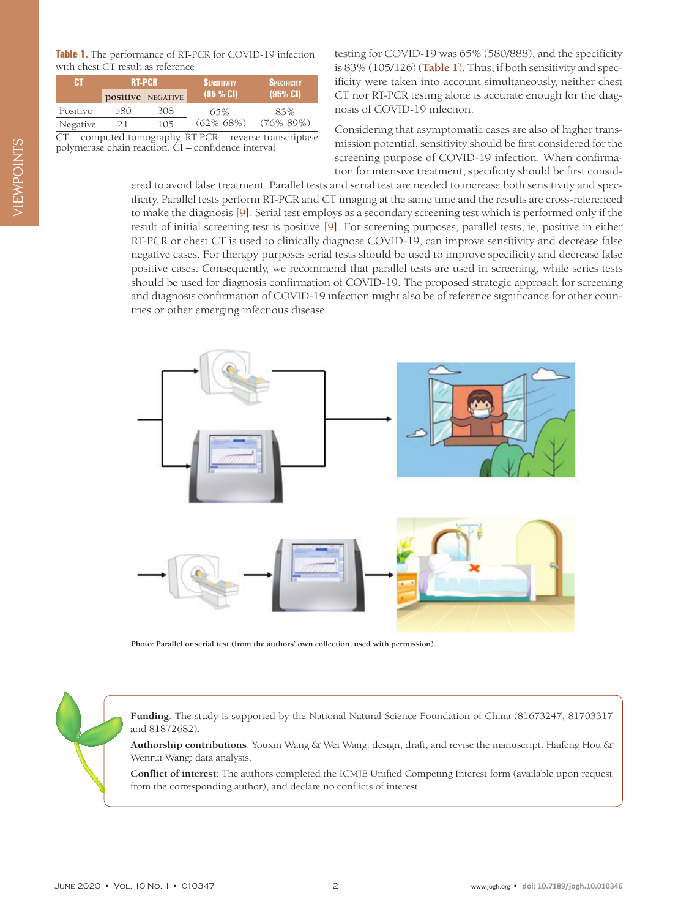<span id="page-1-0"></span>

| Table 1. The performance of RT-PCR for COVID-19 infection |
|-----------------------------------------------------------|
| with chest CT result as reference                         |

| m        | <b>RT-PCR</b>     |     | <b>SENSITIVITY</b> | <b>SPECIFICITY</b> |
|----------|-------------------|-----|--------------------|--------------------|
|          | positive NEGATIVE |     | (95 % CI)          | (95% CI)           |
| Positive | 580               | 308 | 65%                | 83%                |
| Negative | 21                | 105 | $(62\% - 68\%)$    | $(76\% - 89\%)$    |

CT – computed tomography, RT-PCR – reverse transcriptase polymerase chain reaction, CI – confidence interval

testing for COVID-19 was 65% (580/888), and the specificity is 83% (105/126) (**[Table 1](#page-1-0)**). Thus, if both sensitivity and specificity were taken into account simultaneously, neither chest CT nor RT-PCR testing alone is accurate enough for the diagnosis of COVID-19 infection.

Considering that asymptomatic cases are also of higher transmission potential, sensitivity should be first considered for the screening purpose of COVID-19 infection. When confirmation for intensive treatment, specificity should be first consid-

ered to avoid false treatment. Parallel tests and serial test are needed to increase both sensitivity and specificity. Parallel tests perform RT-PCR and CT imaging at the same time and the results are cross-referenced to make the diagnosis [\[9](#page-2-8)]. Serial test employs as a secondary screening test which is performed only if the result of initial screening test is positive [\[9\]](#page-2-8). For screening purposes, parallel tests, ie, positive in either RT-PCR or chest CT is used to clinically diagnose COVID-19, can improve sensitivity and decrease false negative cases. For therapy purposes serial tests should be used to improve specificity and decrease false positive cases. Consequently, we recommend that parallel tests are used in screening, while series tests should be used for diagnosis confirmation of COVID-19. The proposed strategic approach for screening and diagnosis confirmation of COVID-19 infection might also be of reference significance for other countries or other emerging infectious disease.



**Photo: Parallel or serial test (from the authors' own collection, used with permission).**

**Funding**: The study is supported by the National Natural Science Foundation of China (81673247, 81703317 and 81872682).

**Authorship contributions**: Youxin Wang & Wei Wang: design, draft, and revise the manuscript. Haifeng Hou & Wenrui Wang: data analysis.

**Conflict of interest**: The authors completed the ICMJE Unified Competing Interest form (available upon request from the corresponding author), and declare no conflicts of interest.